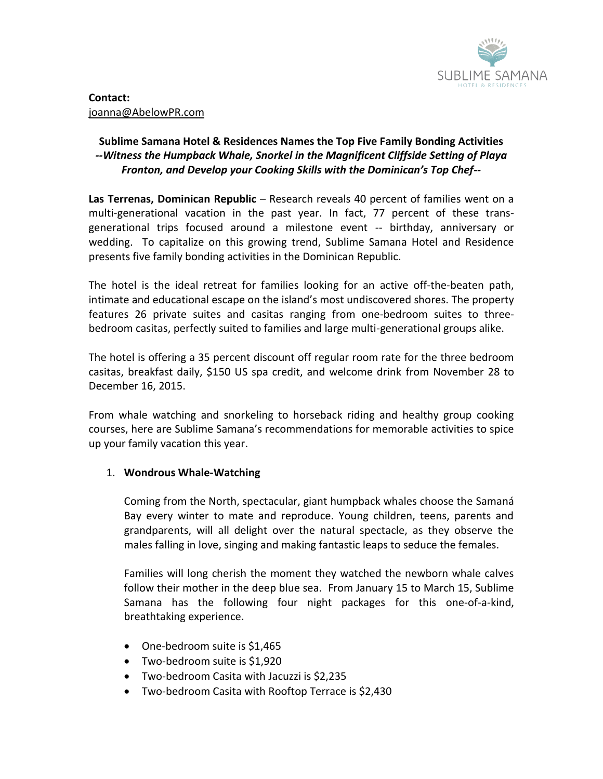

## **Sublime Samana Hotel & Residences Names the Top Five Family Bonding Activities** *--Witness the Humpback Whale, Snorkel in the Magnificent Cliffside Setting of Playa Fronton, and Develop your Cooking Skills with the Dominican's Top Chef--*

**Las Terrenas, Dominican Republic** – Research reveals 40 percent of families went on a multi-generational vacation in the past year. In fact, 77 percent of these transgenerational trips focused around a milestone event -- birthday, anniversary or wedding. To capitalize on this growing trend, Sublime Samana Hotel and Residence presents five family bonding activities in the Dominican Republic.

The hotel is the ideal retreat for families looking for an active off-the-beaten path, intimate and educational escape on the island's most undiscovered shores. The property features 26 private suites and casitas ranging from one-bedroom suites to threebedroom casitas, perfectly suited to families and large multi-generational groups alike.

The hotel is offering a 35 percent discount off regular room rate for the three bedroom casitas, breakfast daily, \$150 US spa credit, and welcome drink from November 28 to December 16, 2015.

From whale watching and snorkeling to horseback riding and healthy group cooking courses, here are Sublime Samana's recommendations for memorable activities to spice up your family vacation this year.

## 1. **Wondrous Whale-Watching**

Coming from the North, spectacular, giant humpback whales choose the Samaná Bay every winter to mate and reproduce. Young children, teens, parents and grandparents, will all delight over the natural spectacle, as they observe the males falling in love, singing and making fantastic leaps to seduce the females.

Families will long cherish the moment they watched the newborn whale calves follow their mother in the deep blue sea. From January 15 to March 15, Sublime Samana has the following four night packages for this one-of-a-kind, breathtaking experience.

- One-bedroom suite is \$1,465
- Two-bedroom suite is \$1,920
- Two-bedroom Casita with Jacuzzi is \$2,235
- Two-bedroom Casita with Rooftop Terrace is \$2,430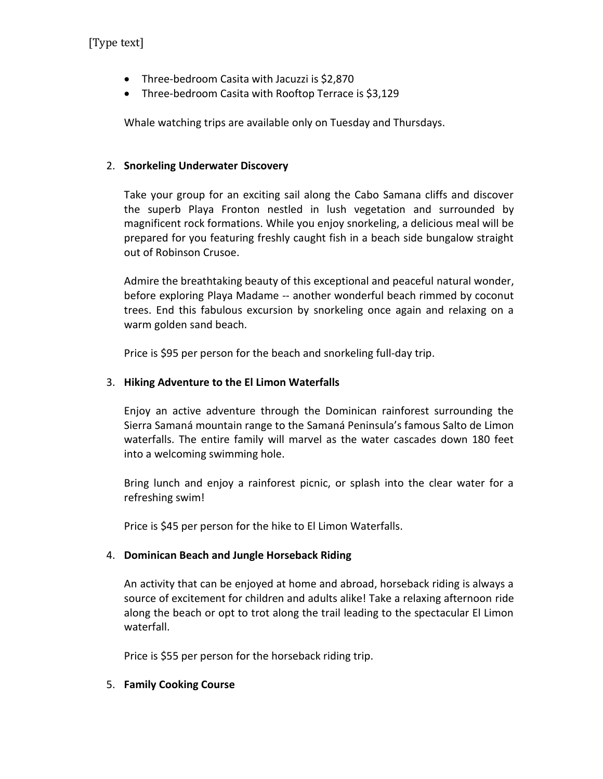[Type text]

- Three-bedroom Casita with Jacuzzi is \$2,870
- Three-bedroom Casita with Rooftop Terrace is \$3,129

Whale watching trips are available only on Tuesday and Thursdays.

#### 2. **Snorkeling Underwater Discovery**

Take your group for an exciting sail along the Cabo Samana cliffs and discover the superb Playa Fronton nestled in lush vegetation and surrounded by magnificent rock formations. While you enjoy snorkeling, a delicious meal will be prepared for you featuring freshly caught fish in a beach side bungalow straight out of Robinson Crusoe.

Admire the breathtaking beauty of this exceptional and peaceful natural wonder, before exploring Playa Madame -- another wonderful beach rimmed by coconut trees. End this fabulous excursion by snorkeling once again and relaxing on a warm golden sand beach.

Price is \$95 per person for the beach and snorkeling full-day trip.

#### 3. **Hiking Adventure to the El Limon Waterfalls**

Enjoy an active adventure through the Dominican rainforest surrounding the Sierra Samaná mountain range to the Samaná Peninsula's famous Salto de Limon waterfalls. The entire family will marvel as the water cascades down 180 feet into a welcoming swimming hole.

Bring lunch and enjoy a rainforest picnic, or splash into the clear water for a refreshing swim!

Price is \$45 per person for the hike to El Limon Waterfalls.

## 4. **Dominican Beach and Jungle Horseback Riding**

An activity that can be enjoyed at home and abroad, horseback riding is always a source of excitement for children and adults alike! Take a relaxing afternoon ride along the beach or opt to trot along the trail leading to the spectacular El Limon waterfall.

Price is \$55 per person for the horseback riding trip.

## 5. **Family Cooking Course**